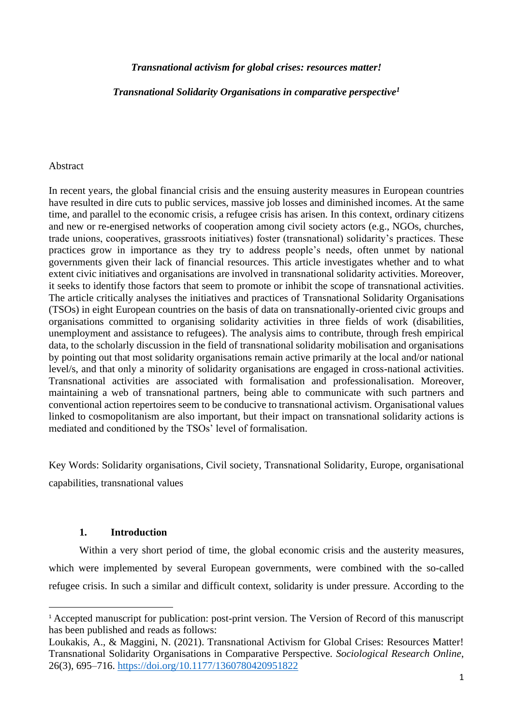# *Transnational activism for global crises: resources matter!*

*Transnational Solidarity Organisations in comparative perspective<sup>1</sup>*

### Abstract

In recent years, the global financial crisis and the ensuing austerity measures in European countries have resulted in dire cuts to public services, massive job losses and diminished incomes. At the same time, and parallel to the economic crisis, a refugee crisis has arisen. In this context, ordinary citizens and new or re-energised networks of cooperation among civil society actors (e.g., NGOs, churches, trade unions, cooperatives, grassroots initiatives) foster (transnational) solidarity's practices. These practices grow in importance as they try to address people's needs, often unmet by national governments given their lack of financial resources. This article investigates whether and to what extent civic initiatives and organisations are involved in transnational solidarity activities. Moreover, it seeks to identify those factors that seem to promote or inhibit the scope of transnational activities. The article critically analyses the initiatives and practices of Transnational Solidarity Organisations (TSOs) in eight European countries on the basis of data on transnationally-oriented civic groups and organisations committed to organising solidarity activities in three fields of work (disabilities, unemployment and assistance to refugees). The analysis aims to contribute, through fresh empirical data, to the scholarly discussion in the field of transnational solidarity mobilisation and organisations by pointing out that most solidarity organisations remain active primarily at the local and/or national level/s, and that only a minority of solidarity organisations are engaged in cross-national activities. Transnational activities are associated with formalisation and professionalisation. Moreover, maintaining a web of transnational partners, being able to communicate with such partners and conventional action repertoires seem to be conducive to transnational activism. Organisational values linked to cosmopolitanism are also important, but their impact on transnational solidarity actions is mediated and conditioned by the TSOs' level of formalisation.

Key Words: Solidarity organisations, Civil society, Transnational Solidarity, Europe, organisational capabilities, transnational values

# **1. Introduction**

Within a very short period of time, the global economic crisis and the austerity measures, which were implemented by several European governments, were combined with the so-called refugee crisis. In such a similar and difficult context, solidarity is under pressure. According to the

<sup>&</sup>lt;sup>1</sup> Accepted manuscript for publication: post-print version. The Version of Record of this manuscript has been published and reads as follows:

Loukakis, A., & Maggini, N. (2021). Transnational Activism for Global Crises: Resources Matter! Transnational Solidarity Organisations in Comparative Perspective. *Sociological Research Online*, 26(3), 695–716.<https://doi.org/10.1177/1360780420951822>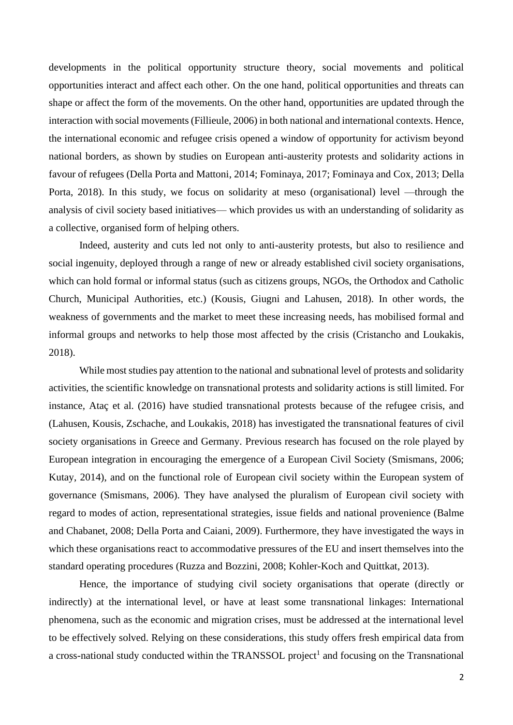developments in the political opportunity structure theory, social movements and political opportunities interact and affect each other. On the one hand, political opportunities and threats can shape or affect the form of the movements. On the other hand, opportunities are updated through the interaction with social movements (Fillieule, 2006) in both national and international contexts. Hence, the international economic and refugee crisis opened a window of opportunity for activism beyond national borders, as shown by studies on European anti-austerity protests and solidarity actions in favour of refugees (Della Porta and Mattoni, 2014; Fominaya, 2017; Fominaya and Cox, 2013; Della Porta, 2018). In this study, we focus on solidarity at meso (organisational) level —through the analysis of civil society based initiatives— which provides us with an understanding of solidarity as a collective, organised form of helping others.

Indeed, austerity and cuts led not only to anti-austerity protests, but also to resilience and social ingenuity, deployed through a range of new or already established civil society organisations, which can hold formal or informal status (such as citizens groups, NGOs, the Orthodox and Catholic Church, Municipal Authorities, etc.) (Kousis, Giugni and Lahusen, 2018). In other words, the weakness of governments and the market to meet these increasing needs, has mobilised formal and informal groups and networks to help those most affected by the crisis (Cristancho and Loukakis, 2018).

While most studies pay attention to the national and subnational level of protests and solidarity activities, the scientific knowledge on transnational protests and solidarity actions is still limited. For instance, Ataç et al. (2016) have studied transnational protests because of the refugee crisis, and (Lahusen, Kousis, Zschache, and Loukakis, 2018) has investigated the transnational features of civil society organisations in Greece and Germany. Previous research has focused on the role played by European integration in encouraging the emergence of a European Civil Society (Smismans, 2006; Kutay, 2014), and on the functional role of European civil society within the European system of governance (Smismans, 2006). They have analysed the pluralism of European civil society with regard to modes of action, representational strategies, issue fields and national provenience (Balme and Chabanet, 2008; Della Porta and Caiani, 2009). Furthermore, they have investigated the ways in which these organisations react to accommodative pressures of the EU and insert themselves into the standard operating procedures (Ruzza and Bozzini, 2008; Kohler-Koch and Quittkat, 2013).

Hence, the importance of studying civil society organisations that operate (directly or indirectly) at the international level, or have at least some transnational linkages: International phenomena, such as the economic and migration crises, must be addressed at the international level to be effectively solved. Relying on these considerations, this study offers fresh empirical data from a cross-national study conducted within the TRANSSOL project<sup>1</sup> and focusing on the Transnational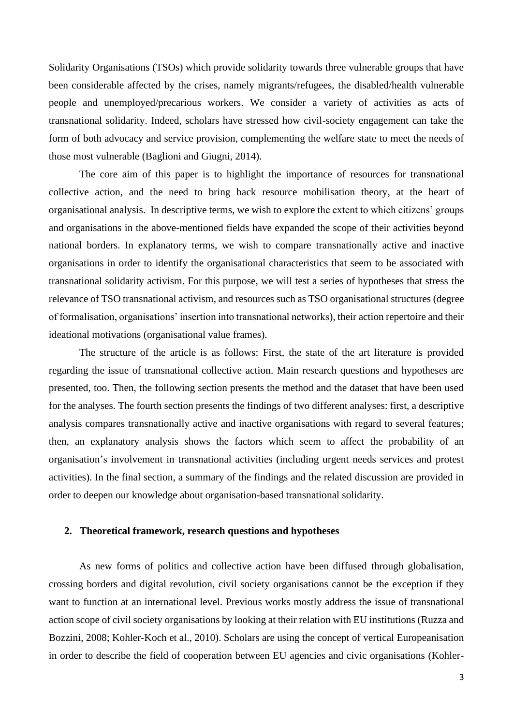Solidarity Organisations (TSOs) which provide solidarity towards three vulnerable groups that have been considerable affected by the crises, namely migrants/refugees, the disabled/health vulnerable people and unemployed/precarious workers. We consider a variety of activities as acts of transnational solidarity. Indeed, scholars have stressed how civil-society engagement can take the form of both advocacy and service provision, complementing the welfare state to meet the needs of those most vulnerable (Baglioni and Giugni, 2014).

The core aim of this paper is to highlight the importance of resources for transnational collective action, and the need to bring back resource mobilisation theory, at the heart of organisational analysis. In descriptive terms, we wish to explore the extent to which citizens' groups and organisations in the above-mentioned fields have expanded the scope of their activities beyond national borders. In explanatory terms, we wish to compare transnationally active and inactive organisations in order to identify the organisational characteristics that seem to be associated with transnational solidarity activism. For this purpose, we will test a series of hypotheses that stress the relevance of TSO transnational activism, and resources such as TSO organisational structures (degree of formalisation, organisations' insertion into transnational networks), their action repertoire and their ideational motivations (organisational value frames).

The structure of the article is as follows: First, the state of the art literature is provided regarding the issue of transnational collective action. Main research questions and hypotheses are presented, too. Then, the following section presents the method and the dataset that have been used for the analyses. The fourth section presents the findings of two different analyses: first, a descriptive analysis compares transnationally active and inactive organisations with regard to several features; then, an explanatory analysis shows the factors which seem to affect the probability of an organisation's involvement in transnational activities (including urgent needs services and protest activities). In the final section, a summary of the findings and the related discussion are provided in order to deepen our knowledge about organisation-based transnational solidarity.

#### **2. Theoretical framework, research questions and hypotheses**

As new forms of politics and collective action have been diffused through globalisation, crossing borders and digital revolution, civil society organisations cannot be the exception if they want to function at an international level. Previous works mostly address the issue of transnational action scope of civil society organisations by looking at their relation with EU institutions (Ruzza and Bozzini, 2008; Kohler-Koch et al., 2010). Scholars are using the concept of vertical Europeanisation in order to describe the field of cooperation between EU agencies and civic organisations (Kohler-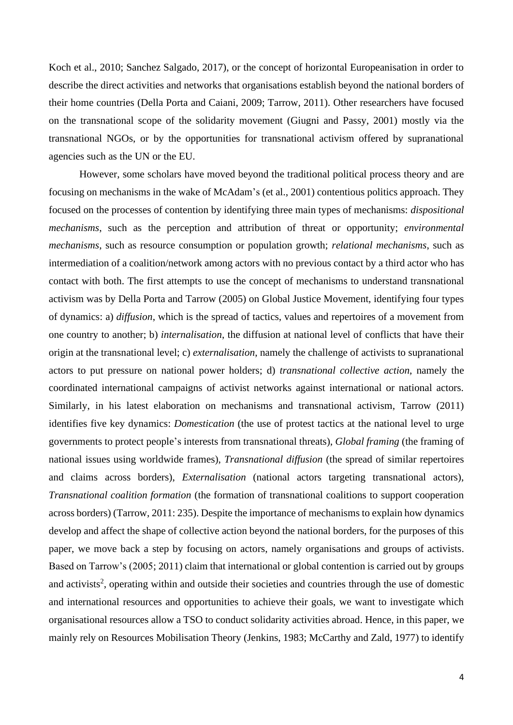Koch et al., 2010; Sanchez Salgado, 2017), or the concept of horizontal Europeanisation in order to describe the direct activities and networks that organisations establish beyond the national borders of their home countries (Della Porta and Caiani, 2009; Tarrow, 2011). Other researchers have focused on the transnational scope of the solidarity movement (Giugni and Passy, 2001) mostly via the transnational NGOs, or by the opportunities for transnational activism offered by supranational agencies such as the UN or the EU.

However, some scholars have moved beyond the traditional political process theory and are focusing on mechanisms in the wake of McAdam's (et al., 2001) contentious politics approach. They focused on the processes of contention by identifying three main types of mechanisms: *dispositional mechanisms*, such as the perception and attribution of threat or opportunity; *environmental mechanisms*, such as resource consumption or population growth; *relational mechanisms*, such as intermediation of a coalition/network among actors with no previous contact by a third actor who has contact with both. The first attempts to use the concept of mechanisms to understand transnational activism was by Della Porta and Tarrow (2005) on Global Justice Movement, identifying four types of dynamics: a) *diffusion*, which is the spread of tactics, values and repertoires of a movement from one country to another; b) *internalisation*, the diffusion at national level of conflicts that have their origin at the transnational level; c) *externalisation*, namely the challenge of activists to supranational actors to put pressure on national power holders; d) *transnational collective action*, namely the coordinated international campaigns of activist networks against international or national actors. Similarly, in his latest elaboration on mechanisms and transnational activism, Tarrow (2011) identifies five key dynamics: *Domestication* (the use of protest tactics at the national level to urge governments to protect people's interests from transnational threats), *Global framing* (the framing of national issues using worldwide frames), *Transnational diffusion* (the spread of similar repertoires and claims across borders), *Externalisation* (national actors targeting transnational actors), *Transnational coalition formation* (the formation of transnational coalitions to support cooperation across borders) (Tarrow, 2011: 235). Despite the importance of mechanisms to explain how dynamics develop and affect the shape of collective action beyond the national borders, for the purposes of this paper, we move back a step by focusing on actors, namely organisations and groups of activists. Based on Tarrow's (2005; 2011) claim that international or global contention is carried out by groups and activists<sup>2</sup>, operating within and outside their societies and countries through the use of domestic and international resources and opportunities to achieve their goals, we want to investigate which organisational resources allow a TSO to conduct solidarity activities abroad. Hence, in this paper, we mainly rely on Resources Mobilisation Theory (Jenkins, 1983; McCarthy and Zald, 1977) to identify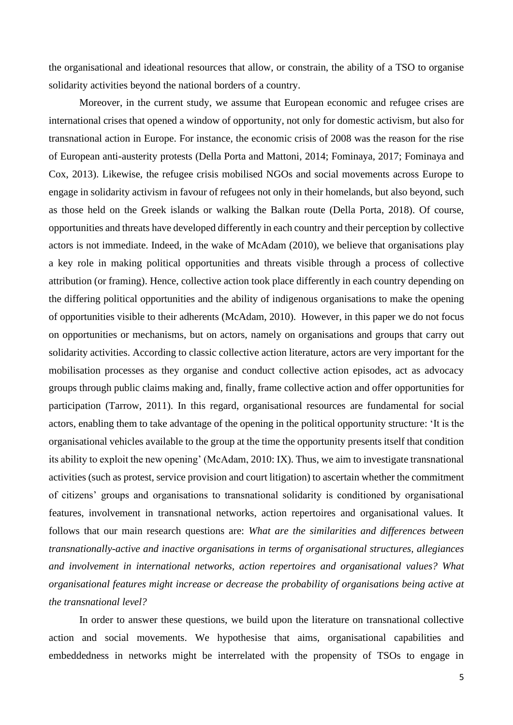the organisational and ideational resources that allow, or constrain, the ability of a TSO to organise solidarity activities beyond the national borders of a country.

Moreover, in the current study, we assume that European economic and refugee crises are international crises that opened a window of opportunity, not only for domestic activism, but also for transnational action in Europe. For instance, the economic crisis of 2008 was the reason for the rise of European anti-austerity protests (Della Porta and Mattoni, 2014; Fominaya, 2017; Fominaya and Cox, 2013). Likewise, the refugee crisis mobilised NGOs and social movements across Europe to engage in solidarity activism in favour of refugees not only in their homelands, but also beyond, such as those held on the Greek islands or walking the Balkan route (Della Porta, 2018). Of course, opportunities and threats have developed differently in each country and their perception by collective actors is not immediate. Indeed, in the wake of McAdam (2010), we believe that organisations play a key role in making political opportunities and threats visible through a process of collective attribution (or framing). Hence, collective action took place differently in each country depending on the differing political opportunities and the ability of indigenous organisations to make the opening of opportunities visible to their adherents (McAdam, 2010). However, in this paper we do not focus on opportunities or mechanisms, but on actors, namely on organisations and groups that carry out solidarity activities. According to classic collective action literature, actors are very important for the mobilisation processes as they organise and conduct collective action episodes, act as advocacy groups through public claims making and, finally, frame collective action and offer opportunities for participation (Tarrow, 2011). In this regard, organisational resources are fundamental for social actors, enabling them to take advantage of the opening in the political opportunity structure: 'It is the organisational vehicles available to the group at the time the opportunity presents itself that condition its ability to exploit the new opening' (McAdam, 2010: IX). Thus, we aim to investigate transnational activities (such as protest, service provision and court litigation) to ascertain whether the commitment of citizens' groups and organisations to transnational solidarity is conditioned by organisational features, involvement in transnational networks, action repertoires and organisational values. It follows that our main research questions are: *What are the similarities and differences between transnationally-active and inactive organisations in terms of organisational structures, allegiances and involvement in international networks, action repertoires and organisational values? What organisational features might increase or decrease the probability of organisations being active at the transnational level?*

In order to answer these questions, we build upon the literature on transnational collective action and social movements. We hypothesise that aims, organisational capabilities and embeddedness in networks might be interrelated with the propensity of TSOs to engage in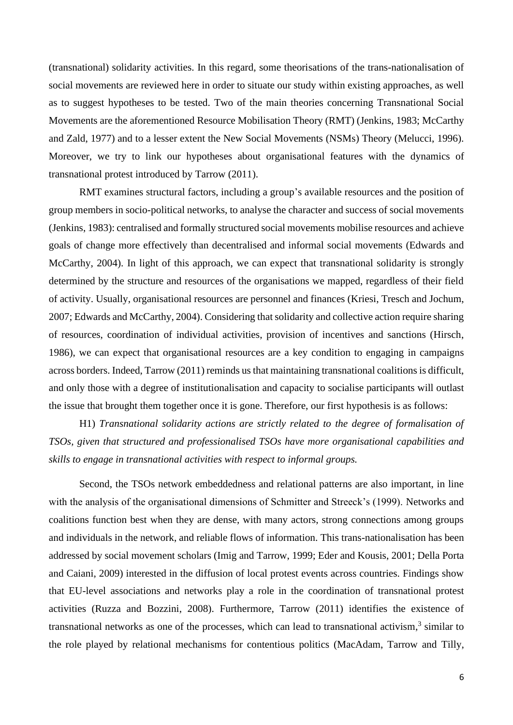(transnational) solidarity activities. In this regard, some theorisations of the trans-nationalisation of social movements are reviewed here in order to situate our study within existing approaches, as well as to suggest hypotheses to be tested. Two of the main theories concerning Transnational Social Movements are the aforementioned Resource Mobilisation Theory (RMT) (Jenkins, 1983; McCarthy and Zald, 1977) and to a lesser extent the New Social Movements (NSMs) Theory (Melucci, 1996). Moreover, we try to link our hypotheses about organisational features with the dynamics of transnational protest introduced by Tarrow (2011).

RMT examines structural factors, including a group's available resources and the position of group members in socio-political networks, to analyse the character and success of social movements (Jenkins, 1983): centralised and formally structured social movements mobilise resources and achieve goals of change more effectively than decentralised and informal social movements (Edwards and McCarthy, 2004). In light of this approach, we can expect that transnational solidarity is strongly determined by the structure and resources of the organisations we mapped, regardless of their field of activity. Usually, organisational resources are personnel and finances (Kriesi, Tresch and Jochum, 2007; Edwards and McCarthy, 2004). Considering that solidarity and collective action require sharing of resources, coordination of individual activities, provision of incentives and sanctions (Hirsch, 1986), we can expect that organisational resources are a key condition to engaging in campaigns across borders. Indeed, Tarrow (2011) reminds us that maintaining transnational coalitions is difficult, and only those with a degree of institutionalisation and capacity to socialise participants will outlast the issue that brought them together once it is gone. Therefore, our first hypothesis is as follows:

H1) *Transnational solidarity actions are strictly related to the degree of formalisation of TSOs, given that structured and professionalised TSOs have more organisational capabilities and skills to engage in transnational activities with respect to informal groups.*

Second, the TSOs network embeddedness and relational patterns are also important, in line with the analysis of the organisational dimensions of Schmitter and Streeck's (1999). Networks and coalitions function best when they are dense, with many actors, strong connections among groups and individuals in the network, and reliable flows of information. This trans-nationalisation has been addressed by social movement scholars (Imig and Tarrow, 1999; Eder and Kousis, 2001; Della Porta and Caiani, 2009) interested in the diffusion of local protest events across countries. Findings show that EU-level associations and networks play a role in the coordination of transnational protest activities (Ruzza and Bozzini, 2008). Furthermore, Tarrow (2011) identifies the existence of transnational networks as one of the processes, which can lead to transnational activism, 3 similar to the role played by relational mechanisms for contentious politics (MacAdam, Tarrow and Tilly,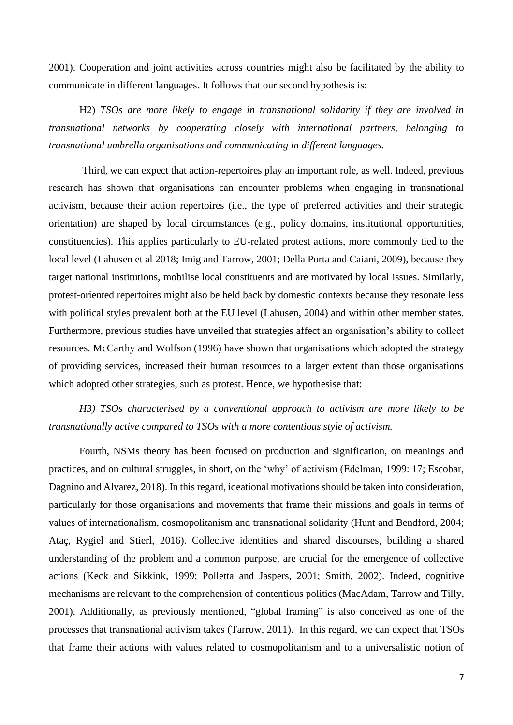2001). Cooperation and joint activities across countries might also be facilitated by the ability to communicate in different languages. It follows that our second hypothesis is:

H2) *TSOs are more likely to engage in transnational solidarity if they are involved in transnational networks by cooperating closely with international partners, belonging to transnational umbrella organisations and communicating in different languages.*

Third, we can expect that action-repertoires play an important role, as well. Indeed, previous research has shown that organisations can encounter problems when engaging in transnational activism, because their action repertoires (i.e., the type of preferred activities and their strategic orientation) are shaped by local circumstances (e.g., policy domains, institutional opportunities, constituencies). This applies particularly to EU-related protest actions, more commonly tied to the local level (Lahusen et al 2018; Imig and Tarrow, 2001; Della Porta and Caiani, 2009), because they target national institutions, mobilise local constituents and are motivated by local issues. Similarly, protest-oriented repertoires might also be held back by domestic contexts because they resonate less with political styles prevalent both at the EU level (Lahusen, 2004) and within other member states. Furthermore, previous studies have unveiled that strategies affect an organisation's ability to collect resources. McCarthy and Wolfson (1996) have shown that organisations which adopted the strategy of providing services, increased their human resources to a larger extent than those organisations which adopted other strategies, such as protest. Hence, we hypothesise that:

*H3) TSOs characterised by a conventional approach to activism are more likely to be transnationally active compared to TSOs with a more contentious style of activism.*

Fourth, NSMs theory has been focused on production and signification, on meanings and practices, and on cultural struggles, in short, on the 'why' of activism (Edelman, 1999: 17; Escobar, Dagnino and Alvarez, 2018). In this regard, ideational motivations should be taken into consideration, particularly for those organisations and movements that frame their missions and goals in terms of values of internationalism, cosmopolitanism and transnational solidarity (Hunt and Bendford, 2004; Ataç, Rygiel and Stierl, 2016). Collective identities and shared discourses, building a shared understanding of the problem and a common purpose, are crucial for the emergence of collective actions (Keck and Sikkink, 1999; Polletta and Jaspers, 2001; Smith, 2002). Indeed, cognitive mechanisms are relevant to the comprehension of contentious politics (MacAdam, Tarrow and Tilly, 2001). Additionally, as previously mentioned, "global framing" is also conceived as one of the processes that transnational activism takes (Tarrow, 2011). In this regard, we can expect that TSOs that frame their actions with values related to cosmopolitanism and to a universalistic notion of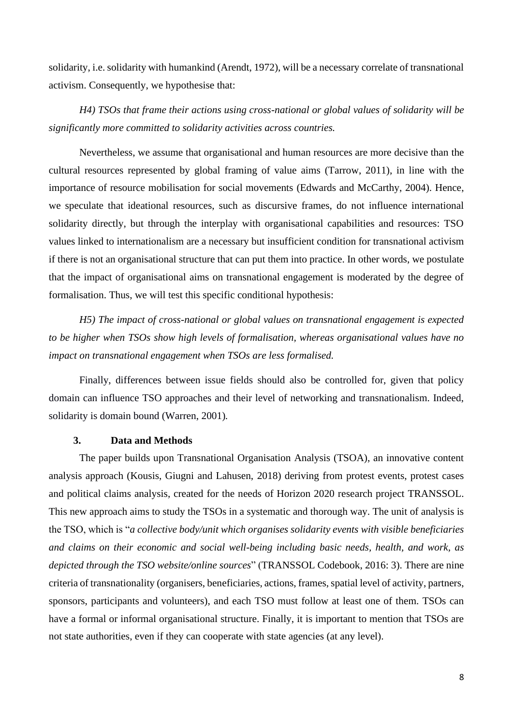solidarity, i.e. solidarity with humankind (Arendt, 1972), will be a necessary correlate of transnational activism. Consequently, we hypothesise that:

*H4) TSOs that frame their actions using cross-national or global values of solidarity will be significantly more committed to solidarity activities across countries.*

Nevertheless, we assume that organisational and human resources are more decisive than the cultural resources represented by global framing of value aims (Tarrow, 2011), in line with the importance of resource mobilisation for social movements (Edwards and McCarthy, 2004). Hence, we speculate that ideational resources, such as discursive frames, do not influence international solidarity directly, but through the interplay with organisational capabilities and resources: TSO values linked to internationalism are a necessary but insufficient condition for transnational activism if there is not an organisational structure that can put them into practice. In other words, we postulate that the impact of organisational aims on transnational engagement is moderated by the degree of formalisation. Thus, we will test this specific conditional hypothesis:

*H5) The impact of cross-national or global values on transnational engagement is expected to be higher when TSOs show high levels of formalisation, whereas organisational values have no impact on transnational engagement when TSOs are less formalised.*

Finally, differences between issue fields should also be controlled for, given that policy domain can influence TSO approaches and their level of networking and transnationalism. Indeed, solidarity is domain bound (Warren, 2001)*.*

## **3. Data and Methods**

The paper builds upon Transnational Organisation Analysis (TSOA), an innovative content analysis approach (Kousis, Giugni and Lahusen, 2018) deriving from protest events, protest cases and political claims analysis, created for the needs of Horizon 2020 research project TRANSSOL. This new approach aims to study the TSOs in a systematic and thorough way. The unit of analysis is the TSO, which is "*a collective body/unit which organises solidarity events with visible beneficiaries and claims on their economic and social well-being including basic needs, health, and work, as depicted through the TSO website/online sources*" (TRANSSOL Codebook, 2016: 3). There are nine criteria of transnationality (organisers, beneficiaries, actions, frames, spatial level of activity, partners, sponsors, participants and volunteers), and each TSO must follow at least one of them. TSOs can have a formal or informal organisational structure. Finally, it is important to mention that TSOs are not state authorities, even if they can cooperate with state agencies (at any level).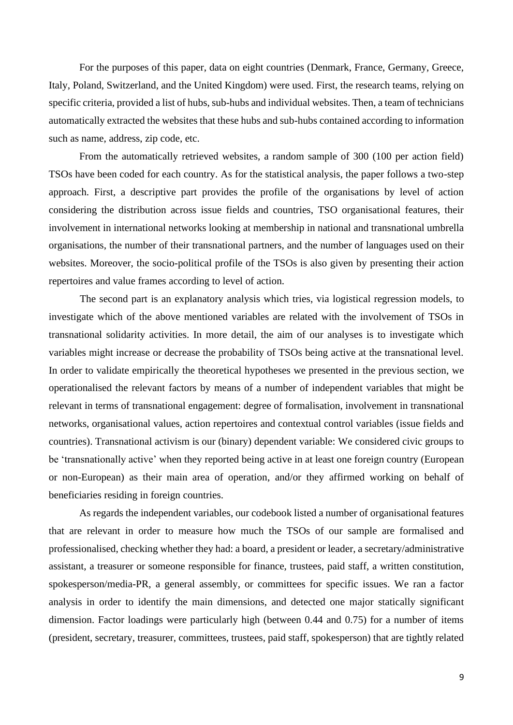For the purposes of this paper, data on eight countries (Denmark, France, Germany, Greece, Italy, Poland, Switzerland, and the United Kingdom) were used. First, the research teams, relying on specific criteria, provided a list of hubs, sub-hubs and individual websites. Then, a team of technicians automatically extracted the websites that these hubs and sub-hubs contained according to information such as name, address, zip code, etc.

From the automatically retrieved websites, a random sample of 300 (100 per action field) TSOs have been coded for each country. As for the statistical analysis, the paper follows a two-step approach. First, a descriptive part provides the profile of the organisations by level of action considering the distribution across issue fields and countries, TSO organisational features, their involvement in international networks looking at membership in national and transnational umbrella organisations, the number of their transnational partners, and the number of languages used on their websites. Moreover, the socio-political profile of the TSOs is also given by presenting their action repertoires and value frames according to level of action.

The second part is an explanatory analysis which tries, via logistical regression models, to investigate which of the above mentioned variables are related with the involvement of TSOs in transnational solidarity activities. In more detail, the aim of our analyses is to investigate which variables might increase or decrease the probability of TSOs being active at the transnational level. In order to validate empirically the theoretical hypotheses we presented in the previous section, we operationalised the relevant factors by means of a number of independent variables that might be relevant in terms of transnational engagement: degree of formalisation, involvement in transnational networks, organisational values, action repertoires and contextual control variables (issue fields and countries). Transnational activism is our (binary) dependent variable: We considered civic groups to be 'transnationally active' when they reported being active in at least one foreign country (European or non-European) as their main area of operation, and/or they affirmed working on behalf of beneficiaries residing in foreign countries.

As regards the independent variables, our codebook listed a number of organisational features that are relevant in order to measure how much the TSOs of our sample are formalised and professionalised, checking whether they had: a board, a president or leader, a secretary/administrative assistant, a treasurer or someone responsible for finance, trustees, paid staff, a written constitution, spokesperson/media-PR, a general assembly, or committees for specific issues. We ran a factor analysis in order to identify the main dimensions, and detected one major statically significant dimension. Factor loadings were particularly high (between 0.44 and 0.75) for a number of items (president, secretary, treasurer, committees, trustees, paid staff, spokesperson) that are tightly related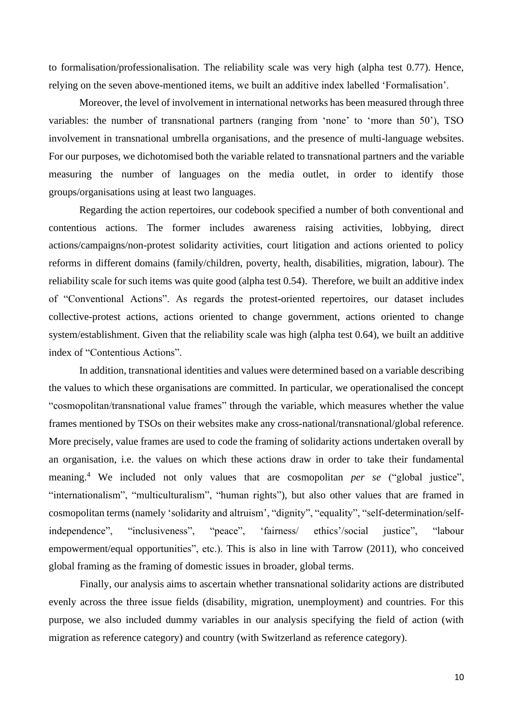to formalisation/professionalisation. The reliability scale was very high (alpha test 0.77). Hence, relying on the seven above-mentioned items, we built an additive index labelled 'Formalisation'.

Moreover, the level of involvement in international networks has been measured through three variables: the number of transnational partners (ranging from 'none' to 'more than 50'), TSO involvement in transnational umbrella organisations, and the presence of multi-language websites. For our purposes, we dichotomised both the variable related to transnational partners and the variable measuring the number of languages on the media outlet, in order to identify those groups/organisations using at least two languages.

Regarding the action repertoires, our codebook specified a number of both conventional and contentious actions. The former includes awareness raising activities, lobbying, direct actions/campaigns/non-protest solidarity activities, court litigation and actions oriented to policy reforms in different domains (family/children, poverty, health, disabilities, migration, labour). The reliability scale for such items was quite good (alpha test 0.54). Therefore, we built an additive index of "Conventional Actions". As regards the protest-oriented repertoires, our dataset includes collective-protest actions, actions oriented to change government, actions oriented to change system/establishment. Given that the reliability scale was high (alpha test 0.64), we built an additive index of "Contentious Actions".

In addition, transnational identities and values were determined based on a variable describing the values to which these organisations are committed. In particular, we operationalised the concept "cosmopolitan/transnational value frames" through the variable, which measures whether the value frames mentioned by TSOs on their websites make any cross-national/transnational/global reference. More precisely, value frames are used to code the framing of solidarity actions undertaken overall by an organisation, i.e. the values on which these actions draw in order to take their fundamental meaning.<sup>4</sup> We included not only values that are cosmopolitan *per se* ("global justice", "internationalism", "multiculturalism", "human rights"), but also other values that are framed in cosmopolitan terms (namely 'solidarity and altruism', "dignity", "equality", "self-determination/selfindependence", "inclusiveness", "peace", 'fairness/ ethics'/social justice", "labour empowerment/equal opportunities", etc.). This is also in line with Tarrow (2011), who conceived global framing as the framing of domestic issues in broader, global terms.

Finally, our analysis aims to ascertain whether transnational solidarity actions are distributed evenly across the three issue fields (disability, migration, unemployment) and countries. For this purpose, we also included dummy variables in our analysis specifying the field of action (with migration as reference category) and country (with Switzerland as reference category).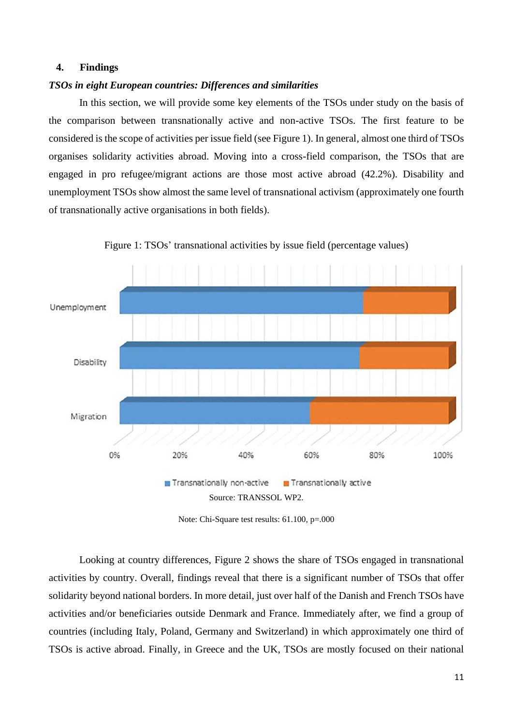# **4. Findings**

#### *TSOs in eight European countries: Differences and similarities*

In this section, we will provide some key elements of the TSOs under study on the basis of the comparison between transnationally active and non-active TSOs. The first feature to be considered is the scope of activities per issue field (see Figure 1). In general, almost one third of TSOs organises solidarity activities abroad. Moving into a cross-field comparison, the TSOs that are engaged in pro refugee/migrant actions are those most active abroad (42.2%). Disability and unemployment TSOs show almost the same level of transnational activism (approximately one fourth of transnationally active organisations in both fields).



Figure 1: TSOs' transnational activities by issue field (percentage values)

Note: Chi-Square test results: 61.100, p=.000

Looking at country differences, Figure 2 shows the share of TSOs engaged in transnational activities by country. Overall, findings reveal that there is a significant number of TSOs that offer solidarity beyond national borders. In more detail, just over half of the Danish and French TSOs have activities and/or beneficiaries outside Denmark and France. Immediately after, we find a group of countries (including Italy, Poland, Germany and Switzerland) in which approximately one third of TSOs is active abroad. Finally, in Greece and the UK, TSOs are mostly focused on their national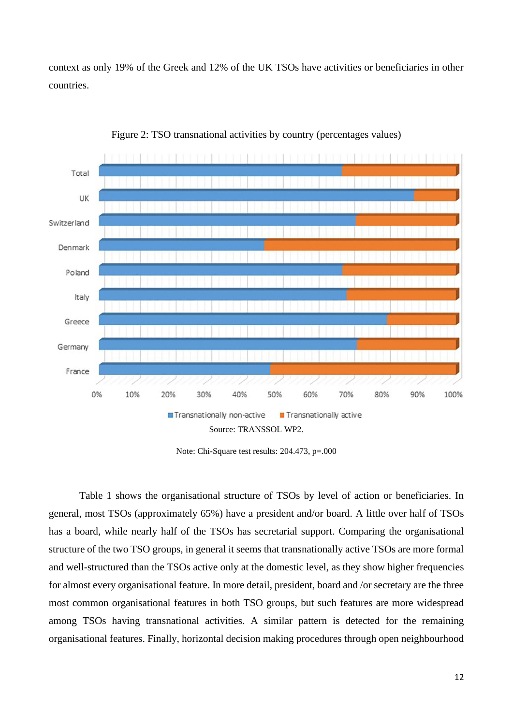context as only 19% of the Greek and 12% of the UK TSOs have activities or beneficiaries in other countries.



Figure 2: TSO transnational activities by country (percentages values)

Note: Chi-Square test results: 204.473, p=.000

Table 1 shows the organisational structure of TSOs by level of action or beneficiaries. In general, most TSOs (approximately 65%) have a president and/or board. A little over half of TSOs has a board, while nearly half of the TSOs has secretarial support. Comparing the organisational structure of the two TSO groups, in general it seems that transnationally active TSOs are more formal and well-structured than the TSOs active only at the domestic level, as they show higher frequencies for almost every organisational feature. In more detail, president, board and /or secretary are the three most common organisational features in both TSO groups, but such features are more widespread among TSOs having transnational activities. A similar pattern is detected for the remaining organisational features. Finally, horizontal decision making procedures through open neighbourhood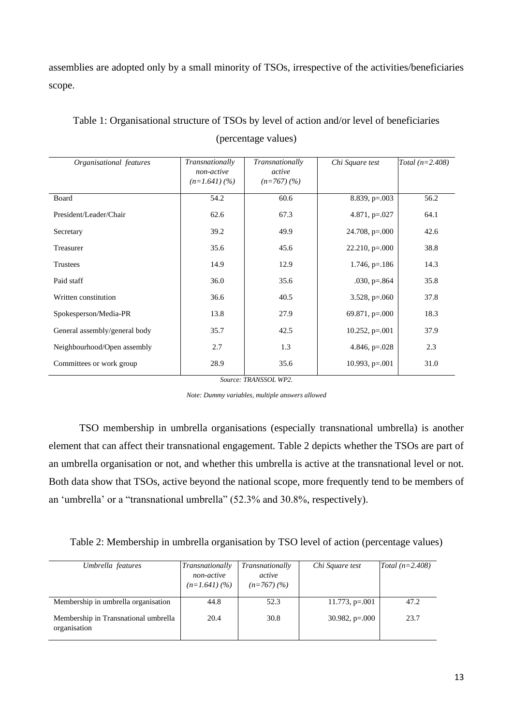assemblies are adopted only by a small minority of TSOs, irrespective of the activities/beneficiaries scope.

| Organisational features       | Transnationally<br>non-active<br>$(n=1.641)(%$ | Transnationally<br>active<br>$(n=767)(%$ | Chi Square test     | Total $(n=2.408)$ |
|-------------------------------|------------------------------------------------|------------------------------------------|---------------------|-------------------|
| Board                         | 54.2                                           | 60.6                                     | 8.839, $p=.003$     | 56.2              |
| President/Leader/Chair        | 62.6                                           | 67.3                                     | 4.871, $p=.027$     | 64.1              |
| Secretary                     | 39.2                                           | 49.9                                     | $24.708$ , p=.000   | 42.6              |
| Treasurer                     | 35.6                                           | 45.6                                     | $22.210$ , $p=.000$ | 38.8              |
| <b>Trustees</b>               | 14.9                                           | 12.9                                     | $1.746$ , p= $.186$ | 14.3              |
| Paid staff                    | 36.0                                           | 35.6                                     | $.030, p=.864$      | 35.8              |
| Written constitution          | 36.6                                           | 40.5                                     | $3.528$ , p=.060    | 37.8              |
| Spokesperson/Media-PR         | 13.8                                           | 27.9                                     | $69.871, p=.000$    | 18.3              |
| General assembly/general body | 35.7                                           | 42.5                                     | $10.252$ , p=.001   | 37.9              |
| Neighbourhood/Open assembly   | 2.7                                            | 1.3                                      | 4.846, $p=.028$     | 2.3               |
| Committees or work group      | 28.9                                           | 35.6                                     | $10.993$ , p=.001   | 31.0              |

Table 1: Organisational structure of TSOs by level of action and/or level of beneficiaries (percentage values)

*Source: TRANSSOL WP2.*

*Note: Dummy variables, multiple answers allowed*

TSO membership in umbrella organisations (especially transnational umbrella) is another element that can affect their transnational engagement. Table 2 depicts whether the TSOs are part of an umbrella organisation or not, and whether this umbrella is active at the transnational level or not. Both data show that TSOs, active beyond the national scope, more frequently tend to be members of an 'umbrella' or a "transnational umbrella" (52.3% and 30.8%, respectively).

Table 2: Membership in umbrella organisation by TSO level of action (percentage values)

| Umbrella features                                    | Transnationally<br>non-active<br>$(n=1.641)(%$ | Transnationally<br>active<br>$(n=767)(%$ | Chi Square test      | Total $(n=2.408)$ |
|------------------------------------------------------|------------------------------------------------|------------------------------------------|----------------------|-------------------|
| Membership in umbrella organisation                  | 44.8                                           | 52.3                                     | $11.773$ , p=.001    | 47.2              |
| Membership in Transnational umbrella<br>organisation | 20.4                                           | 30.8                                     | $30.982$ , p= $.000$ | 23.7              |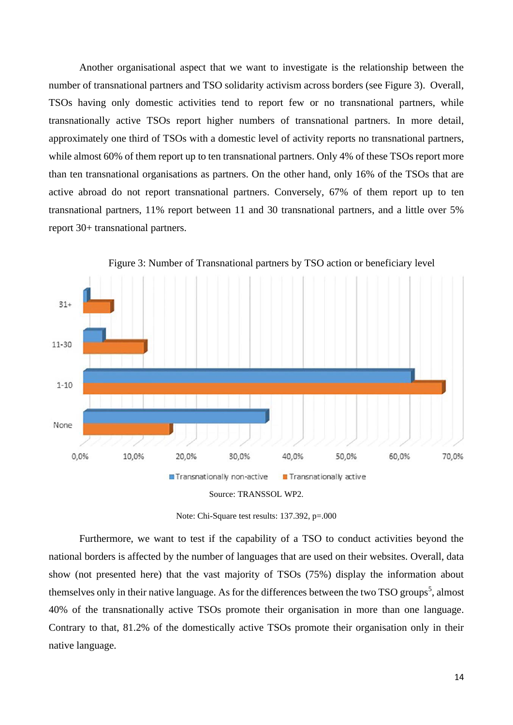Another organisational aspect that we want to investigate is the relationship between the number of transnational partners and TSO solidarity activism across borders (see Figure 3). Overall, TSOs having only domestic activities tend to report few or no transnational partners, while transnationally active TSOs report higher numbers of transnational partners. In more detail, approximately one third of TSOs with a domestic level of activity reports no transnational partners, while almost 60% of them report up to ten transnational partners. Only 4% of these TSOs report more than ten transnational organisations as partners. On the other hand, only 16% of the TSOs that are active abroad do not report transnational partners. Conversely, 67% of them report up to ten transnational partners, 11% report between 11 and 30 transnational partners, and a little over 5% report 30+ transnational partners.



Figure 3: Number of Transnational partners by TSO action or beneficiary level



Furthermore, we want to test if the capability of a TSO to conduct activities beyond the national borders is affected by the number of languages that are used on their websites. Overall, data show (not presented here) that the vast majority of TSOs (75%) display the information about themselves only in their native language. As for the differences between the two TSO groups<sup>5</sup>, almost 40% of the transnationally active TSOs promote their organisation in more than one language. Contrary to that, 81.2% of the domestically active TSOs promote their organisation only in their native language.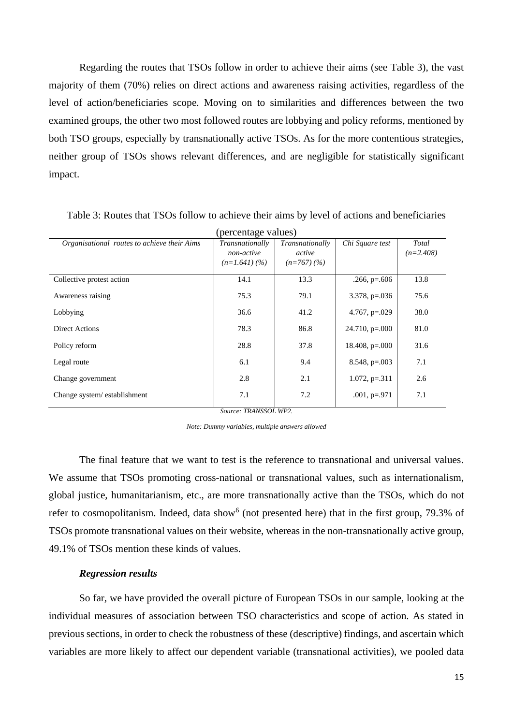Regarding the routes that TSOs follow in order to achieve their aims (see Table 3), the vast majority of them (70%) relies on direct actions and awareness raising activities, regardless of the level of action/beneficiaries scope. Moving on to similarities and differences between the two examined groups, the other two most followed routes are lobbying and policy reforms, mentioned by both TSO groups, especially by transnationally active TSOs. As for the more contentious strategies, neither group of TSOs shows relevant differences, and are negligible for statistically significant impact.

| (percentage values)                         |                 |                 |                   |             |  |
|---------------------------------------------|-----------------|-----------------|-------------------|-------------|--|
| Organisational routes to achieve their Aims | Transnationally | Transnationally | Chi Square test   | Total       |  |
|                                             | non-active      | active          |                   | $(n=2.408)$ |  |
|                                             | $(n=1.641)(%$   | $(n=767)(%$     |                   |             |  |
| Collective protest action                   | 14.1            | 13.3            | $.266, p=.606$    | 13.8        |  |
| Awareness raising                           | 75.3            | 79.1            | $3.378$ , p=.036  | 75.6        |  |
| Lobbying                                    | 36.6            | 41.2            | $4.767$ , p=.029  | 38.0        |  |
| <b>Direct Actions</b>                       | 78.3            | 86.8            | $24.710$ , p=.000 | 81.0        |  |
| Policy reform                               | 28.8            | 37.8            | 18.408, $p=.000$  | 31.6        |  |
| Legal route                                 | 6.1             | 9.4             | $8.548$ , p=.003  | 7.1         |  |
| Change government                           | 2.8             | 2.1             | $1.072$ , p=.311  | 2.6         |  |
| Change system/establishment                 | 7.1             | 7.2             | $.001$ , p=.971   | 7.1         |  |

Table 3: Routes that TSOs follow to achieve their aims by level of actions and beneficiaries

*Source: TRANSSOL WP2.*

*Note: Dummy variables, multiple answers allowed*

The final feature that we want to test is the reference to transnational and universal values. We assume that TSOs promoting cross-national or transnational values, such as internationalism, global justice, humanitarianism, etc., are more transnationally active than the TSOs, which do not refer to cosmopolitanism. Indeed, data show<sup>6</sup> (not presented here) that in the first group, 79.3% of TSOs promote transnational values on their website, whereas in the non-transnationally active group, 49.1% of TSOs mention these kinds of values.

### *Regression results*

So far, we have provided the overall picture of European TSOs in our sample, looking at the individual measures of association between TSO characteristics and scope of action. As stated in previous sections, in order to check the robustness of these (descriptive) findings, and ascertain which variables are more likely to affect our dependent variable (transnational activities), we pooled data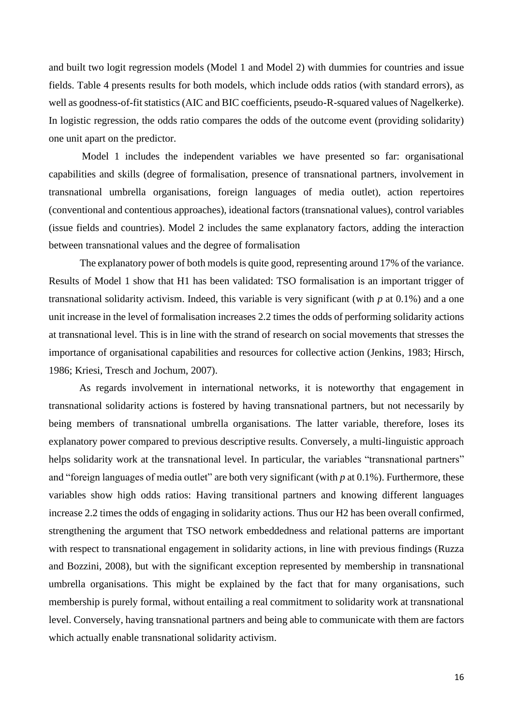and built two logit regression models (Model 1 and Model 2) with dummies for countries and issue fields. Table 4 presents results for both models, which include odds ratios (with standard errors), as well as goodness-of-fit statistics (AIC and BIC coefficients, pseudo-R-squared values of Nagelkerke). In logistic regression, the odds ratio compares the odds of the outcome event (providing solidarity) one unit apart on the predictor.

Model 1 includes the independent variables we have presented so far: organisational capabilities and skills (degree of formalisation, presence of transnational partners, involvement in transnational umbrella organisations, foreign languages of media outlet), action repertoires (conventional and contentious approaches), ideational factors (transnational values), control variables (issue fields and countries). Model 2 includes the same explanatory factors, adding the interaction between transnational values and the degree of formalisation

The explanatory power of both models is quite good, representing around 17% of the variance. Results of Model 1 show that H1 has been validated: TSO formalisation is an important trigger of transnational solidarity activism. Indeed, this variable is very significant (with *p* at 0.1%) and a one unit increase in the level of formalisation increases 2.2 times the odds of performing solidarity actions at transnational level. This is in line with the strand of research on social movements that stresses the importance of organisational capabilities and resources for collective action (Jenkins, 1983; Hirsch, 1986; Kriesi, Tresch and Jochum, 2007).

As regards involvement in international networks, it is noteworthy that engagement in transnational solidarity actions is fostered by having transnational partners, but not necessarily by being members of transnational umbrella organisations. The latter variable, therefore, loses its explanatory power compared to previous descriptive results. Conversely, a multi-linguistic approach helps solidarity work at the transnational level. In particular, the variables "transnational partners" and "foreign languages of media outlet" are both very significant (with *p* at 0.1%). Furthermore, these variables show high odds ratios: Having transitional partners and knowing different languages increase 2.2 times the odds of engaging in solidarity actions. Thus our H2 has been overall confirmed, strengthening the argument that TSO network embeddedness and relational patterns are important with respect to transnational engagement in solidarity actions, in line with previous findings (Ruzza and Bozzini, 2008), but with the significant exception represented by membership in transnational umbrella organisations. This might be explained by the fact that for many organisations, such membership is purely formal, without entailing a real commitment to solidarity work at transnational level. Conversely, having transnational partners and being able to communicate with them are factors which actually enable transnational solidarity activism.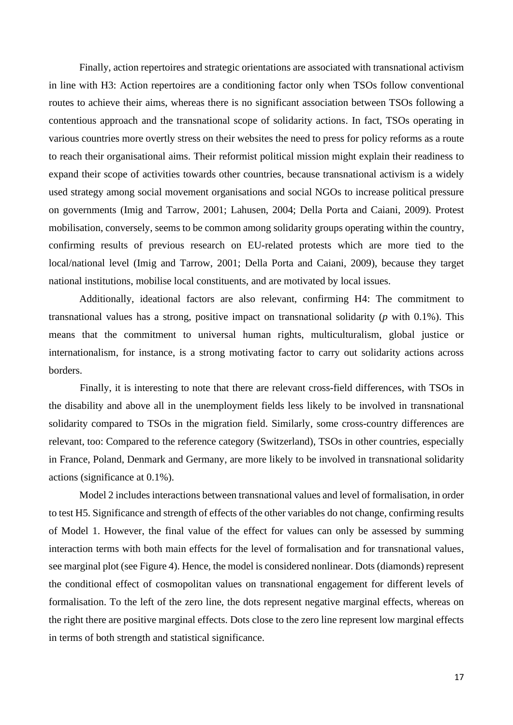Finally, action repertoires and strategic orientations are associated with transnational activism in line with H3: Action repertoires are a conditioning factor only when TSOs follow conventional routes to achieve their aims, whereas there is no significant association between TSOs following a contentious approach and the transnational scope of solidarity actions. In fact, TSOs operating in various countries more overtly stress on their websites the need to press for policy reforms as a route to reach their organisational aims. Their reformist political mission might explain their readiness to expand their scope of activities towards other countries, because transnational activism is a widely used strategy among social movement organisations and social NGOs to increase political pressure on governments (Imig and Tarrow, 2001; Lahusen, 2004; Della Porta and Caiani, 2009). Protest mobilisation, conversely, seems to be common among solidarity groups operating within the country, confirming results of previous research on EU-related protests which are more tied to the local/national level (Imig and Tarrow, 2001; Della Porta and Caiani, 2009), because they target national institutions, mobilise local constituents, and are motivated by local issues.

Additionally, ideational factors are also relevant, confirming H4: The commitment to transnational values has a strong, positive impact on transnational solidarity (*p* with 0.1%). This means that the commitment to universal human rights, multiculturalism, global justice or internationalism, for instance, is a strong motivating factor to carry out solidarity actions across borders.

Finally, it is interesting to note that there are relevant cross-field differences, with TSOs in the disability and above all in the unemployment fields less likely to be involved in transnational solidarity compared to TSOs in the migration field. Similarly, some cross-country differences are relevant, too: Compared to the reference category (Switzerland), TSOs in other countries, especially in France, Poland, Denmark and Germany, are more likely to be involved in transnational solidarity actions (significance at 0.1%).

Model 2 includes interactions between transnational values and level of formalisation, in order to test H5. Significance and strength of effects of the other variables do not change, confirming results of Model 1. However, the final value of the effect for values can only be assessed by summing interaction terms with both main effects for the level of formalisation and for transnational values, see marginal plot (see Figure 4). Hence, the model is considered nonlinear. Dots (diamonds) represent the conditional effect of cosmopolitan values on transnational engagement for different levels of formalisation. To the left of the zero line, the dots represent negative marginal effects, whereas on the right there are positive marginal effects. Dots close to the zero line represent low marginal effects in terms of both strength and statistical significance.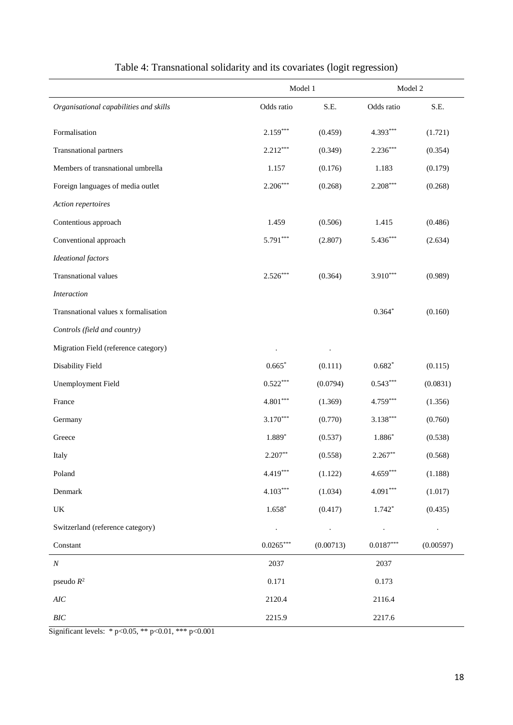|                                        | Model 1                     | Model 2                 |                         |           |
|----------------------------------------|-----------------------------|-------------------------|-------------------------|-----------|
| Organisational capabilities and skills | Odds ratio                  | S.E.                    | Odds ratio              | S.E.      |
| Formalisation                          | $2.159***$                  | (0.459)                 | 4.393***                | (1.721)   |
| Transnational partners                 | $2.212***$                  | (0.349)                 | $2.236***$              | (0.354)   |
| Members of transnational umbrella      | 1.157                       | (0.176)                 | 1.183                   | (0.179)   |
| Foreign languages of media outlet      | $2.206***$                  | (0.268)                 | $2.208***$              | (0.268)   |
| Action repertoires                     |                             |                         |                         |           |
| Contentious approach                   | 1.459                       | (0.506)                 | 1.415                   | (0.486)   |
| Conventional approach                  | 5.791***                    | (2.807)                 | $5.436***$              | (2.634)   |
| <b>Ideational</b> factors              |                             |                         |                         |           |
| Transnational values                   | $2.526***$                  | (0.364)                 | $3.910***$              | (0.989)   |
| <b>Interaction</b>                     |                             |                         |                         |           |
| Transnational values x formalisation   |                             |                         | $0.364*$                | (0.160)   |
| Controls (field and country)           |                             |                         |                         |           |
| Migration Field (reference category)   |                             |                         |                         |           |
| Disability Field                       | $0.665*$                    | (0.111)                 | $0.682*$                | (0.115)   |
| <b>Unemployment Field</b>              | $0.522***$                  | (0.0794)                | $0.543***$              | (0.0831)  |
| France                                 | $4.801***$                  | (1.369)                 | $4.759***$              | (1.356)   |
| Germany                                | $3.170***$                  | (0.770)                 | $3.138***$              | (0.760)   |
| Greece                                 | 1.889*                      | (0.537)                 | 1.886*                  | (0.538)   |
| Italy                                  | $2.207**$                   | (0.558)                 | $2.267**$               | (0.568)   |
| Poland                                 | 4.419***                    | (1.122)                 | $4.659***$              | (1.188)   |
| Denmark                                | $4.103***$                  | (1.034)                 | $4.091***$              | (1.017)   |
| UK                                     | $1.658*$                    | (0.417)                 | $1.742*$                | (0.435)   |
| Switzerland (reference category)       | $\mathcal{L}_{\mathcal{A}}$ | $\sim 100$ km s $^{-1}$ | $\sim 100$              |           |
| Constant                               | $0.0265***$                 | (0.00713)               | $0.0187^{\ast\ast\ast}$ | (0.00597) |
| $\cal N$                               | 2037                        |                         | 2037                    |           |
| pseudo $R^2$                           | 0.171                       |                         | 0.173                   |           |
| $AIC$                                  | 2120.4                      |                         | 2116.4                  |           |
| $BIC$                                  | 2215.9                      |                         | 2217.6                  |           |

| Table 4: Transnational solidarity and its covariates (logit regression) |  |  |  |
|-------------------------------------------------------------------------|--|--|--|
|                                                                         |  |  |  |

Significant levels: \* p<0.05, \*\* p<0.01, \*\*\* p<0.001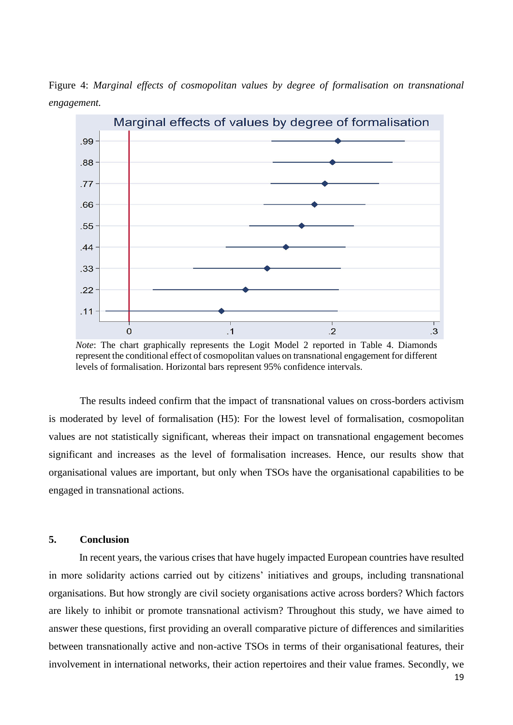Figure 4: *Marginal effects of cosmopolitan values by degree of formalisation on transnational engagement.*



*Note*: The chart graphically represents the Logit Model 2 reported in Table 4. Diamonds represent the conditional effect of cosmopolitan values on transnational engagement for different levels of formalisation. Horizontal bars represent 95% confidence intervals.

The results indeed confirm that the impact of transnational values on cross-borders activism is moderated by level of formalisation (H5): For the lowest level of formalisation, cosmopolitan values are not statistically significant, whereas their impact on transnational engagement becomes significant and increases as the level of formalisation increases. Hence, our results show that organisational values are important, but only when TSOs have the organisational capabilities to be engaged in transnational actions.

#### **5. Conclusion**

In recent years, the various crises that have hugely impacted European countries have resulted in more solidarity actions carried out by citizens' initiatives and groups, including transnational organisations. But how strongly are civil society organisations active across borders? Which factors are likely to inhibit or promote transnational activism? Throughout this study, we have aimed to answer these questions, first providing an overall comparative picture of differences and similarities between transnationally active and non-active TSOs in terms of their organisational features, their involvement in international networks, their action repertoires and their value frames. Secondly, we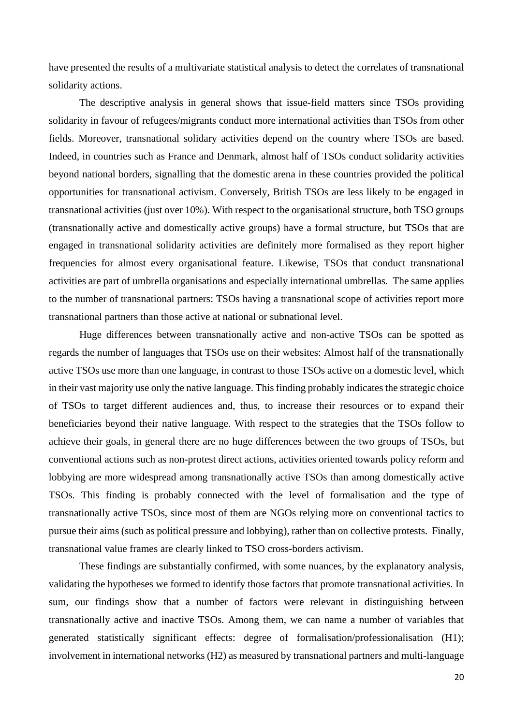have presented the results of a multivariate statistical analysis to detect the correlates of transnational solidarity actions.

The descriptive analysis in general shows that issue-field matters since TSOs providing solidarity in favour of refugees/migrants conduct more international activities than TSOs from other fields. Moreover, transnational solidary activities depend on the country where TSOs are based. Indeed, in countries such as France and Denmark, almost half of TSOs conduct solidarity activities beyond national borders, signalling that the domestic arena in these countries provided the political opportunities for transnational activism. Conversely, British TSOs are less likely to be engaged in transnational activities (just over 10%). With respect to the organisational structure, both TSO groups (transnationally active and domestically active groups) have a formal structure, but TSOs that are engaged in transnational solidarity activities are definitely more formalised as they report higher frequencies for almost every organisational feature. Likewise, TSOs that conduct transnational activities are part of umbrella organisations and especially international umbrellas. The same applies to the number of transnational partners: TSOs having a transnational scope of activities report more transnational partners than those active at national or subnational level.

Huge differences between transnationally active and non-active TSOs can be spotted as regards the number of languages that TSOs use on their websites: Almost half of the transnationally active TSOs use more than one language, in contrast to those TSOs active on a domestic level, which in their vast majority use only the native language. This finding probably indicates the strategic choice of TSOs to target different audiences and, thus, to increase their resources or to expand their beneficiaries beyond their native language. With respect to the strategies that the TSOs follow to achieve their goals, in general there are no huge differences between the two groups of TSOs, but conventional actions such as non-protest direct actions, activities oriented towards policy reform and lobbying are more widespread among transnationally active TSOs than among domestically active TSOs. This finding is probably connected with the level of formalisation and the type of transnationally active TSOs, since most of them are NGOs relying more on conventional tactics to pursue their aims (such as political pressure and lobbying), rather than on collective protests. Finally, transnational value frames are clearly linked to TSO cross-borders activism.

These findings are substantially confirmed, with some nuances, by the explanatory analysis, validating the hypotheses we formed to identify those factors that promote transnational activities. In sum, our findings show that a number of factors were relevant in distinguishing between transnationally active and inactive TSOs. Among them, we can name a number of variables that generated statistically significant effects: degree of formalisation/professionalisation (H1); involvement in international networks (H2) as measured by transnational partners and multi-language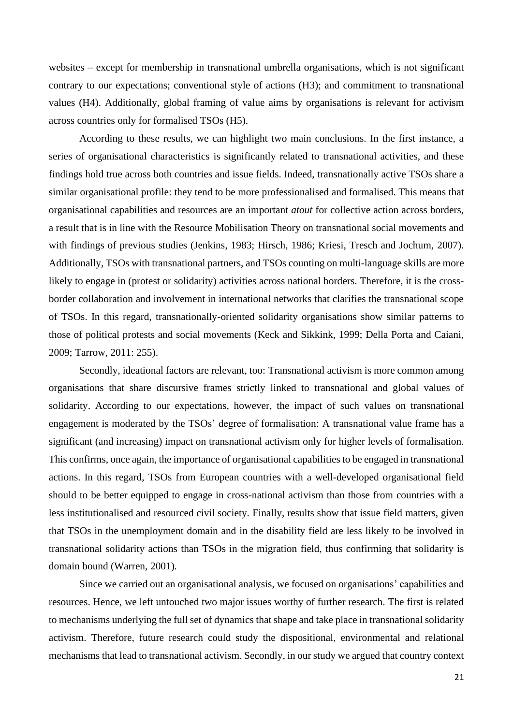websites – except for membership in transnational umbrella organisations, which is not significant contrary to our expectations; conventional style of actions (H3); and commitment to transnational values (H4). Additionally, global framing of value aims by organisations is relevant for activism across countries only for formalised TSOs (H5).

According to these results, we can highlight two main conclusions. In the first instance, a series of organisational characteristics is significantly related to transnational activities, and these findings hold true across both countries and issue fields. Indeed, transnationally active TSOs share a similar organisational profile: they tend to be more professionalised and formalised. This means that organisational capabilities and resources are an important *atout* for collective action across borders, a result that is in line with the Resource Mobilisation Theory on transnational social movements and with findings of previous studies (Jenkins, 1983; Hirsch, 1986; Kriesi, Tresch and Jochum, 2007). Additionally, TSOs with transnational partners, and TSOs counting on multi-language skills are more likely to engage in (protest or solidarity) activities across national borders. Therefore, it is the crossborder collaboration and involvement in international networks that clarifies the transnational scope of TSOs. In this regard, transnationally-oriented solidarity organisations show similar patterns to those of political protests and social movements (Keck and Sikkink, 1999; Della Porta and Caiani, 2009; Tarrow, 2011: 255).

Secondly, ideational factors are relevant, too: Transnational activism is more common among organisations that share discursive frames strictly linked to transnational and global values of solidarity. According to our expectations, however, the impact of such values on transnational engagement is moderated by the TSOs' degree of formalisation: A transnational value frame has a significant (and increasing) impact on transnational activism only for higher levels of formalisation. This confirms, once again, the importance of organisational capabilities to be engaged in transnational actions. In this regard, TSOs from European countries with a well-developed organisational field should to be better equipped to engage in cross-national activism than those from countries with a less institutionalised and resourced civil society. Finally, results show that issue field matters, given that TSOs in the unemployment domain and in the disability field are less likely to be involved in transnational solidarity actions than TSOs in the migration field, thus confirming that solidarity is domain bound (Warren, 2001)*.*

Since we carried out an organisational analysis, we focused on organisations' capabilities and resources. Hence, we left untouched two major issues worthy of further research. The first is related to mechanisms underlying the full set of dynamics that shape and take place in transnational solidarity activism. Therefore, future research could study the dispositional, environmental and relational mechanisms that lead to transnational activism. Secondly, in our study we argued that country context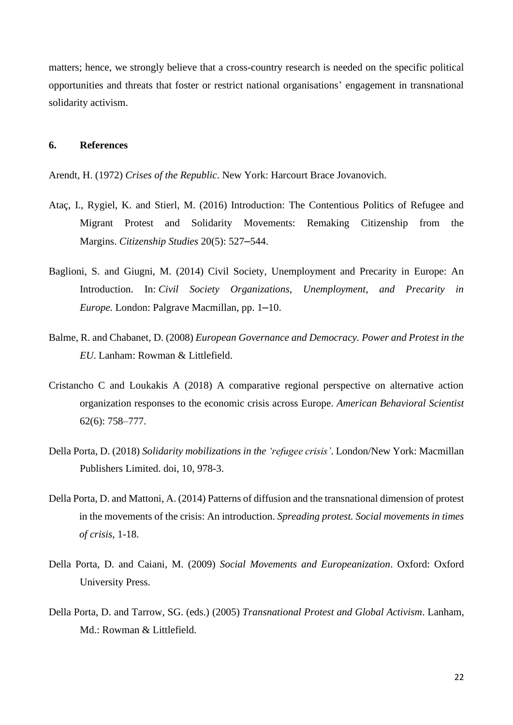matters; hence, we strongly believe that a cross-country research is needed on the specific political opportunities and threats that foster or restrict national organisations' engagement in transnational solidarity activism.

### **6. References**

Arendt, H. (1972) *Crises of the Republic*. New York: Harcourt Brace Jovanovich.

- Ataç, I., Rygiel, K. and Stierl, M. (2016) Introduction: The Contentious Politics of Refugee and Migrant Protest and Solidarity Movements: Remaking Citizenship from the Margins. *Citizenship Studies* 20(5): 527–544.
- Baglioni, S. and Giugni, M. (2014) Civil Society, Unemployment and Precarity in Europe: An Introduction. In: *Civil Society Organizations, Unemployment, and Precarity in Europe.* London: Palgrave Macmillan, pp. 1–10.
- Balme, R. and Chabanet, D. (2008) *European Governance and Democracy. Power and Protest in the EU*. Lanham: Rowman & Littlefield.
- Cristancho C and Loukakis A (2018) A comparative regional perspective on alternative action organization responses to the economic crisis across Europe. *American Behavioral Scientist* 62(6): 758–777.
- Della Porta, D. (2018) *Solidarity mobilizations in the 'refugee crisis'*. London/New York: Macmillan Publishers Limited. doi, 10, 978-3.
- Della Porta, D. and Mattoni, A. (2014) Patterns of diffusion and the transnational dimension of protest in the movements of the crisis: An introduction. *Spreading protest. Social movements in times of crisis*, 1-18.
- Della Porta, D. and Caiani, M. (2009) *Social Movements and Europeanization*. Oxford: Oxford University Press.
- Della Porta, D. and Tarrow, SG. (eds.) (2005) *Transnational Protest and Global Activism*. Lanham, Md.: Rowman & Littlefield.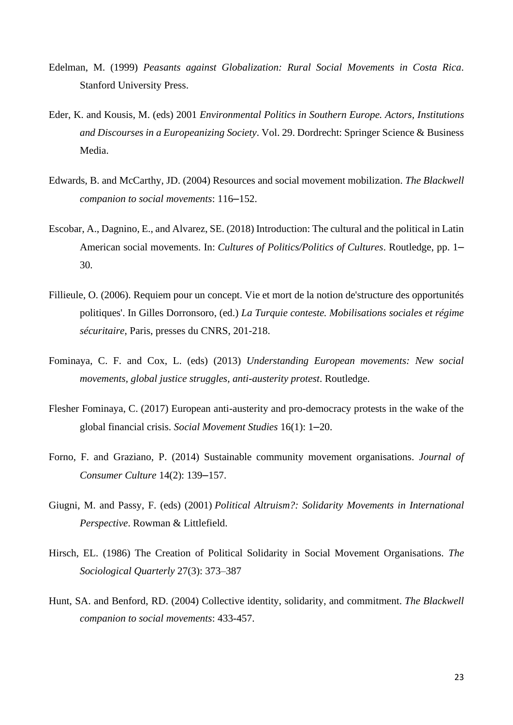- Edelman, M. (1999) *Peasants against Globalization: Rural Social Movements in Costa Rica*. Stanford University Press.
- Eder, K. and Kousis, M. (eds) 2001 *Environmental Politics in Southern Europe. Actors, Institutions and Discourses in a Europeanizing Society*. Vol. 29. Dordrecht: Springer Science & Business Media.
- Edwards, B. and McCarthy, JD. (2004) Resources and social movement mobilization. *The Blackwell companion to social movements*: 116–152.
- Escobar, A., Dagnino, E., and Alvarez, SE. (2018) Introduction: The cultural and the political in Latin American social movements. In: *Cultures of Politics/Politics of Cultures*. Routledge, pp. 1– 30.
- Fillieule, O. (2006). Requiem pour un concept. Vie et mort de la notion de'structure des opportunités politiques'. In Gilles Dorronsoro, (ed.) *La Turquie conteste. Mobilisations sociales et régime sécuritaire*, Paris, presses du CNRS, 201-218.
- Fominaya, C. F. and Cox, L. (eds) (2013) *Understanding European movements: New social movements, global justice struggles, anti-austerity protest*. Routledge.
- Flesher Fominaya, C. (2017) European anti-austerity and pro-democracy protests in the wake of the global financial crisis. *Social Movement Studies* 16(1): 1–20.
- Forno, F. and Graziano, P. (2014) Sustainable community movement organisations. *Journal of Consumer Culture* 14(2): 139–157.
- Giugni, M. and Passy, F. (eds) (2001) *Political Altruism?: Solidarity Movements in International Perspective*. Rowman & Littlefield.
- Hirsch, EL. (1986) The Creation of Political Solidarity in Social Movement Organisations. *The Sociological Quarterly* 27(3): 373–387
- Hunt, SA. and Benford, RD. (2004) Collective identity, solidarity, and commitment. *The Blackwell companion to social movements*: 433-457.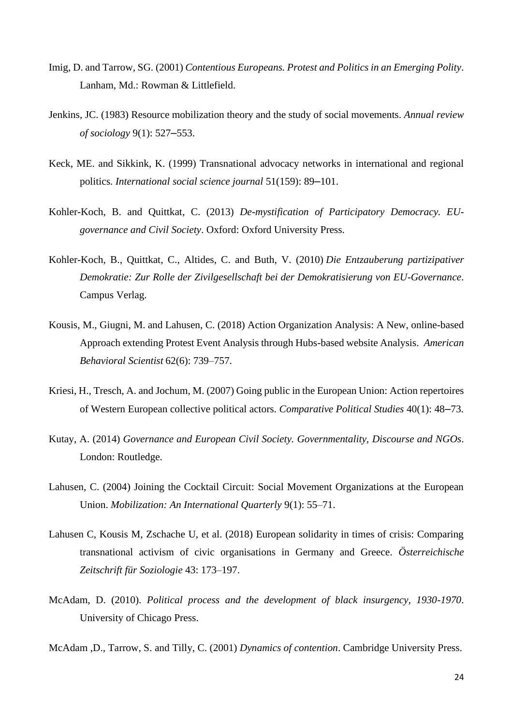- Imig, D. and Tarrow, SG. (2001) *Contentious Europeans. Protest and Politics in an Emerging Polity*. Lanham, Md.: Rowman & Littlefield.
- Jenkins, JC. (1983) Resource mobilization theory and the study of social movements. *Annual review of sociology* 9(1): 527–553.
- Keck, ME. and Sikkink, K. (1999) Transnational advocacy networks in international and regional politics. *International social science journal* 51(159): 89–101.
- Kohler-Koch, B. and Quittkat, C. (2013) *De-mystification of Participatory Democracy. EUgovernance and Civil Society*. Oxford: Oxford University Press.
- Kohler-Koch, B., Quittkat, C., Altides, C. and Buth, V. (2010) *Die Entzauberung partizipativer Demokratie: Zur Rolle der Zivilgesellschaft bei der Demokratisierung von EU-Governance*. Campus Verlag.
- Kousis, M., Giugni, M. and Lahusen, C. (2018) Action Organization Analysis: A New, online-based Approach extending Protest Event Analysis through Hubs-based website Analysis. *American Behavioral Scientist* 62(6): 739–757.
- Kriesi, H., Tresch, A. and Jochum, M. (2007) Going public in the European Union: Action repertoires of Western European collective political actors. *Comparative Political Studies* 40(1): 48–73.
- Kutay, A. (2014) *Governance and European Civil Society. Governmentality, Discourse and NGOs*. London: Routledge.
- Lahusen, C. (2004) Joining the Cocktail Circuit: Social Movement Organizations at the European Union. *Mobilization: An International Quarterly* 9(1): 55–71.
- Lahusen C, Kousis M, Zschache U, et al. (2018) European solidarity in times of crisis: Comparing transnational activism of civic organisations in Germany and Greece. *Österreichische Zeitschrift für Soziologie* 43: 173–197.
- McAdam, D. (2010). *Political process and the development of black insurgency, 1930-1970*. University of Chicago Press.
- McAdam ,D., Tarrow, S. and Tilly, C. (2001) *Dynamics of contention*. Cambridge University Press.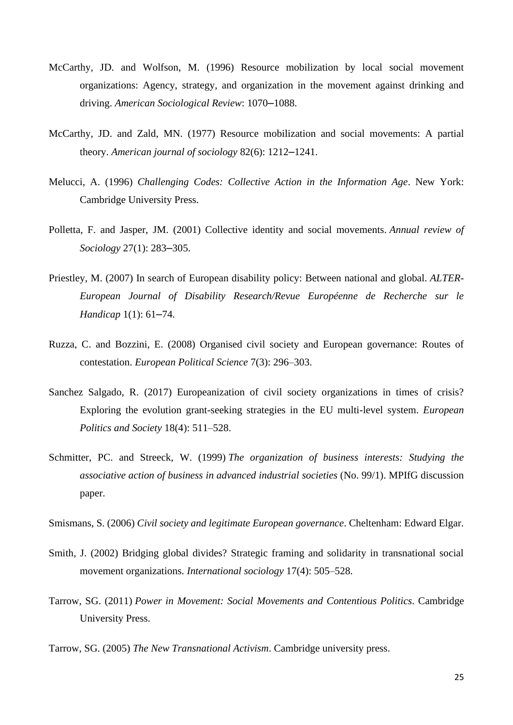- McCarthy, JD. and Wolfson, M. (1996) Resource mobilization by local social movement organizations: Agency, strategy, and organization in the movement against drinking and driving. *American Sociological Review*: 1070–1088.
- McCarthy, JD. and Zald, MN. (1977) Resource mobilization and social movements: A partial theory. *American journal of sociology* 82(6): 1212–1241.
- Melucci, A. (1996) *Challenging Codes: Collective Action in the Information Age*. New York: Cambridge University Press.
- Polletta, F. and Jasper, JM. (2001) Collective identity and social movements. *Annual review of Sociology* 27(1): 283–305.
- Priestley, M. (2007) In search of European disability policy: Between national and global. *ALTER-European Journal of Disability Research/Revue Européenne de Recherche sur le Handicap* 1(1): 61–74.
- Ruzza, C. and Bozzini, E. (2008) Organised civil society and European governance: Routes of contestation. *European Political Science* 7(3): 296–303.
- Sanchez Salgado, R. (2017) Europeanization of civil society organizations in times of crisis? Exploring the evolution grant-seeking strategies in the EU multi-level system. *European Politics and Society* 18(4): 511–528.
- Schmitter, PC. and Streeck, W. (1999) *The organization of business interests: Studying the associative action of business in advanced industrial societies* (No. 99/1). MPIfG discussion paper.

Smismans, S. (2006) *Civil society and legitimate European governance*. Cheltenham: Edward Elgar.

- Smith, J. (2002) Bridging global divides? Strategic framing and solidarity in transnational social movement organizations. *International sociology* 17(4): 505–528.
- Tarrow, SG. (2011) *Power in Movement: Social Movements and Contentious Politics*. Cambridge University Press.
- Tarrow, SG. (2005) *The New Transnational Activism*. Cambridge university press.